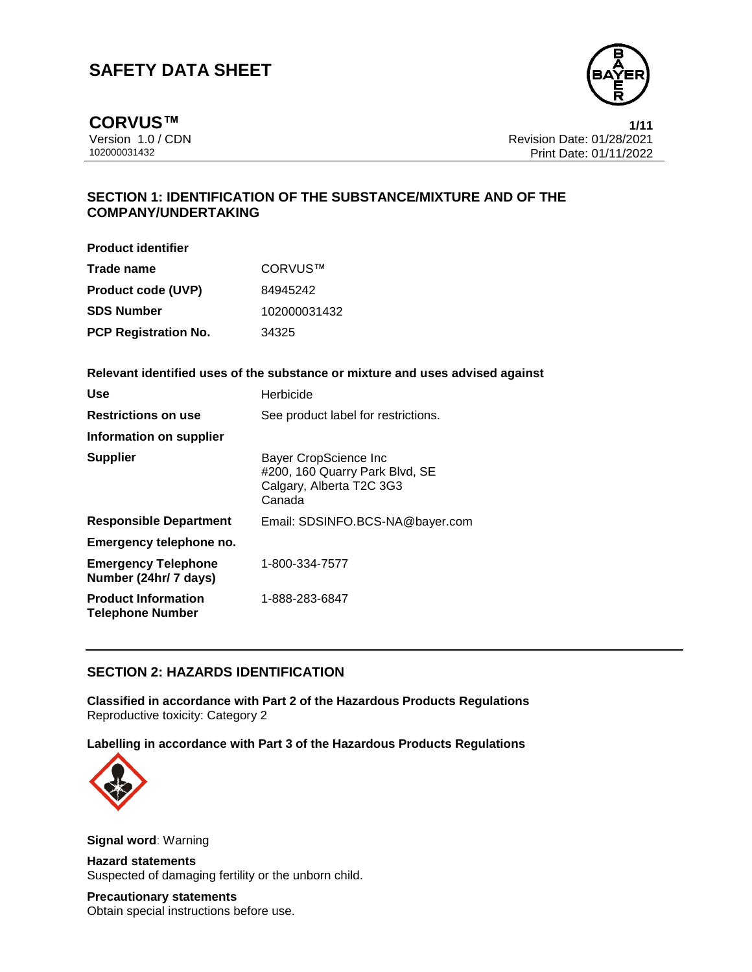

**CORVUS™ 1/11**

Version 1.0 / CDN<br>102000031432 Print Date: 01/28/2021<br>Print Date: 01/11/2022 Print Date: 01/11/2022

## **SECTION 1: IDENTIFICATION OF THE SUBSTANCE/MIXTURE AND OF THE COMPANY/UNDERTAKING**

**Product identifier**

| Trade name                  | CORVUS™      |
|-----------------------------|--------------|
| <b>Product code (UVP)</b>   | 84945242     |
| <b>SDS Number</b>           | 102000031432 |
| <b>PCP Registration No.</b> | 34325        |

**Relevant identified uses of the substance or mixture and uses advised against**

| Use                                                   | Herbicide                                                                                     |
|-------------------------------------------------------|-----------------------------------------------------------------------------------------------|
| <b>Restrictions on use</b>                            | See product label for restrictions.                                                           |
| Information on supplier                               |                                                                                               |
| <b>Supplier</b>                                       | Bayer CropScience Inc<br>#200, 160 Quarry Park Blvd, SE<br>Calgary, Alberta T2C 3G3<br>Canada |
| <b>Responsible Department</b>                         | Email: SDSINFO.BCS-NA@bayer.com                                                               |
| Emergency telephone no.                               |                                                                                               |
| <b>Emergency Telephone</b><br>Number (24hr/ 7 days)   | 1-800-334-7577                                                                                |
| <b>Product Information</b><br><b>Telephone Number</b> | 1-888-283-6847                                                                                |

## **SECTION 2: HAZARDS IDENTIFICATION**

**Classified in accordance with Part 2 of the Hazardous Products Regulations** Reproductive toxicity: Category 2

**Labelling in accordance with Part 3 of the Hazardous Products Regulations**



**Signal word**: Warning

**Hazard statements** Suspected of damaging fertility or the unborn child.

**Precautionary statements** Obtain special instructions before use.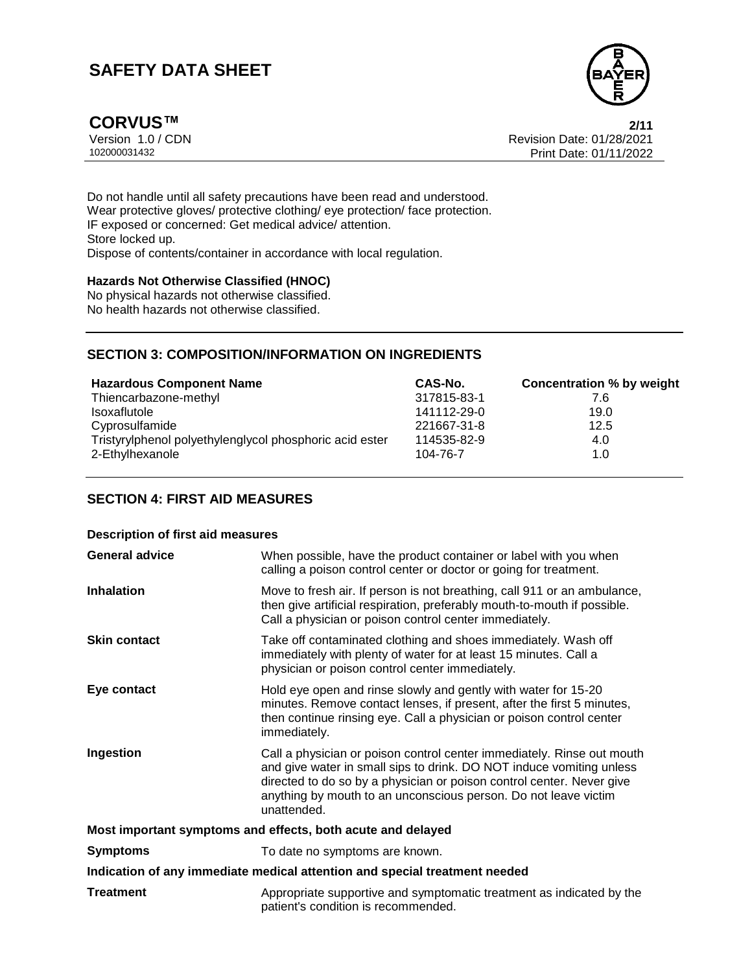

**CORVUS™ 2/11**

Version 1.0 / CDN<br>102000031432 Print Date: 01/28/2021<br>Print Date: 01/11/2022 Print Date: 01/11/2022

Do not handle until all safety precautions have been read and understood. Wear protective gloves/ protective clothing/ eye protection/ face protection. IF exposed or concerned: Get medical advice/ attention. Store locked up. Dispose of contents/container in accordance with local regulation.

#### **Hazards Not Otherwise Classified (HNOC)**

No physical hazards not otherwise classified. No health hazards not otherwise classified.

## **SECTION 3: COMPOSITION/INFORMATION ON INGREDIENTS**

| <b>Hazardous Component Name</b>                         | CAS-No.     | <b>Concentration % by weight</b> |
|---------------------------------------------------------|-------------|----------------------------------|
| Thiencarbazone-methyl                                   | 317815-83-1 | 7.6                              |
| Isoxaflutole                                            | 141112-29-0 | 19.0                             |
| Cyprosulfamide                                          | 221667-31-8 | 12.5                             |
| Tristyrylphenol polyethylenglycol phosphoric acid ester | 114535-82-9 | 4.0                              |
| 2-Ethylhexanole                                         | 104-76-7    | 1.0                              |

## **SECTION 4: FIRST AID MEASURES**

## **Description of first aid measures**

| <b>General advice</b> | When possible, have the product container or label with you when<br>calling a poison control center or doctor or going for treatment.                                                                                                                                                                     |
|-----------------------|-----------------------------------------------------------------------------------------------------------------------------------------------------------------------------------------------------------------------------------------------------------------------------------------------------------|
| <b>Inhalation</b>     | Move to fresh air. If person is not breathing, call 911 or an ambulance,<br>then give artificial respiration, preferably mouth-to-mouth if possible.<br>Call a physician or poison control center immediately.                                                                                            |
| <b>Skin contact</b>   | Take off contaminated clothing and shoes immediately. Wash off<br>immediately with plenty of water for at least 15 minutes. Call a<br>physician or poison control center immediately.                                                                                                                     |
| Eye contact           | Hold eye open and rinse slowly and gently with water for 15-20<br>minutes. Remove contact lenses, if present, after the first 5 minutes,<br>then continue rinsing eye. Call a physician or poison control center<br>immediately.                                                                          |
| Ingestion             | Call a physician or poison control center immediately. Rinse out mouth<br>and give water in small sips to drink. DO NOT induce vomiting unless<br>directed to do so by a physician or poison control center. Never give<br>anything by mouth to an unconscious person. Do not leave victim<br>unattended. |
|                       | Most important symptoms and effects, both acute and delayed                                                                                                                                                                                                                                               |
| <b>Symptoms</b>       | To date no symptoms are known.                                                                                                                                                                                                                                                                            |
|                       | Indication of any immediate medical attention and special treatment needed                                                                                                                                                                                                                                |
| <b>Treatment</b>      | Appropriate supportive and symptomatic treatment as indicated by the<br>patient's condition is recommended.                                                                                                                                                                                               |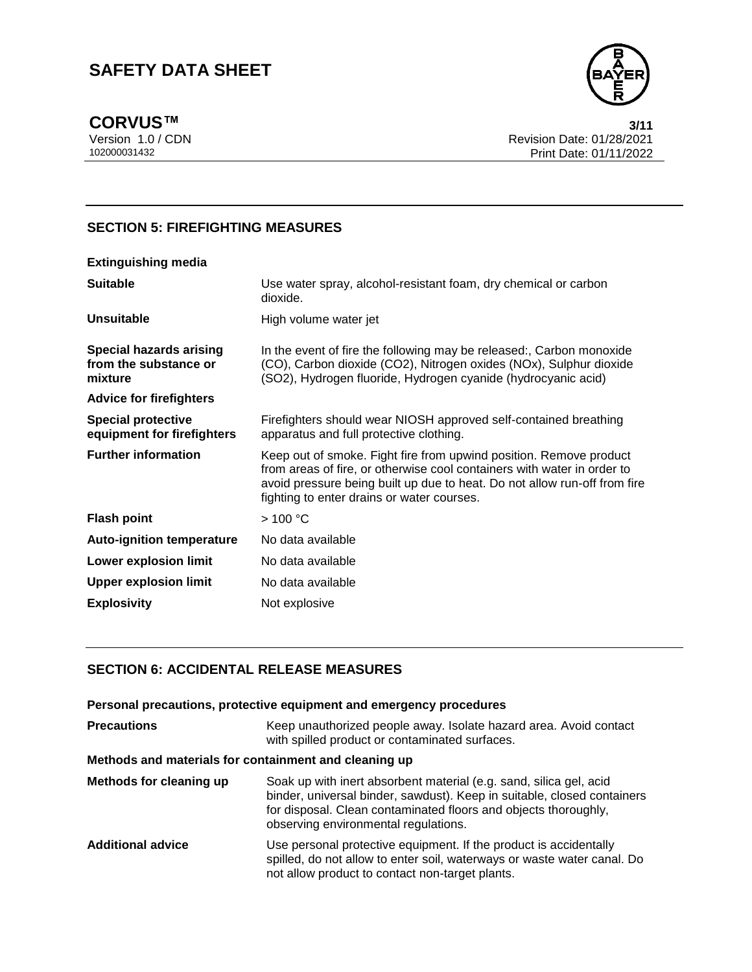

CORVUS™ 3/11<br>Version 1.0 / CDN 3/17<br>Revision Date: 01/28/2021 Version 1.0 / CDN<br>102000031432 Print Date: 01/28/2021<br>Print Date: 01/11/2022 Print Date: 01/11/2022

## **SECTION 5: FIREFIGHTING MEASURES**

| Use water spray, alcohol-resistant foam, dry chemical or carbon<br>dioxide.                                                                                                                                                                                              |
|--------------------------------------------------------------------------------------------------------------------------------------------------------------------------------------------------------------------------------------------------------------------------|
| High volume water jet                                                                                                                                                                                                                                                    |
| In the event of fire the following may be released:, Carbon monoxide<br>(CO), Carbon dioxide (CO2), Nitrogen oxides (NOx), Sulphur dioxide<br>(SO2), Hydrogen fluoride, Hydrogen cyanide (hydrocyanic acid)                                                              |
|                                                                                                                                                                                                                                                                          |
| Firefighters should wear NIOSH approved self-contained breathing<br>apparatus and full protective clothing.                                                                                                                                                              |
| Keep out of smoke. Fight fire from upwind position. Remove product<br>from areas of fire, or otherwise cool containers with water in order to<br>avoid pressure being built up due to heat. Do not allow run-off from fire<br>fighting to enter drains or water courses. |
| >100 °C                                                                                                                                                                                                                                                                  |
| No data available                                                                                                                                                                                                                                                        |
| No data available                                                                                                                                                                                                                                                        |
| No data available                                                                                                                                                                                                                                                        |
| Not explosive                                                                                                                                                                                                                                                            |
|                                                                                                                                                                                                                                                                          |

## **SECTION 6: ACCIDENTAL RELEASE MEASURES**

|                          | Personal precautions, protective equipment and emergency procedures                                                                                                                                                                                      |
|--------------------------|----------------------------------------------------------------------------------------------------------------------------------------------------------------------------------------------------------------------------------------------------------|
| <b>Precautions</b>       | Keep unauthorized people away. Isolate hazard area. Avoid contact<br>with spilled product or contaminated surfaces.                                                                                                                                      |
|                          | Methods and materials for containment and cleaning up                                                                                                                                                                                                    |
| Methods for cleaning up  | Soak up with inert absorbent material (e.g. sand, silica gel, acid<br>binder, universal binder, sawdust). Keep in suitable, closed containers<br>for disposal. Clean contaminated floors and objects thoroughly,<br>observing environmental regulations. |
| <b>Additional advice</b> | Use personal protective equipment. If the product is accidentally<br>spilled, do not allow to enter soil, waterways or waste water canal. Do<br>not allow product to contact non-target plants.                                                          |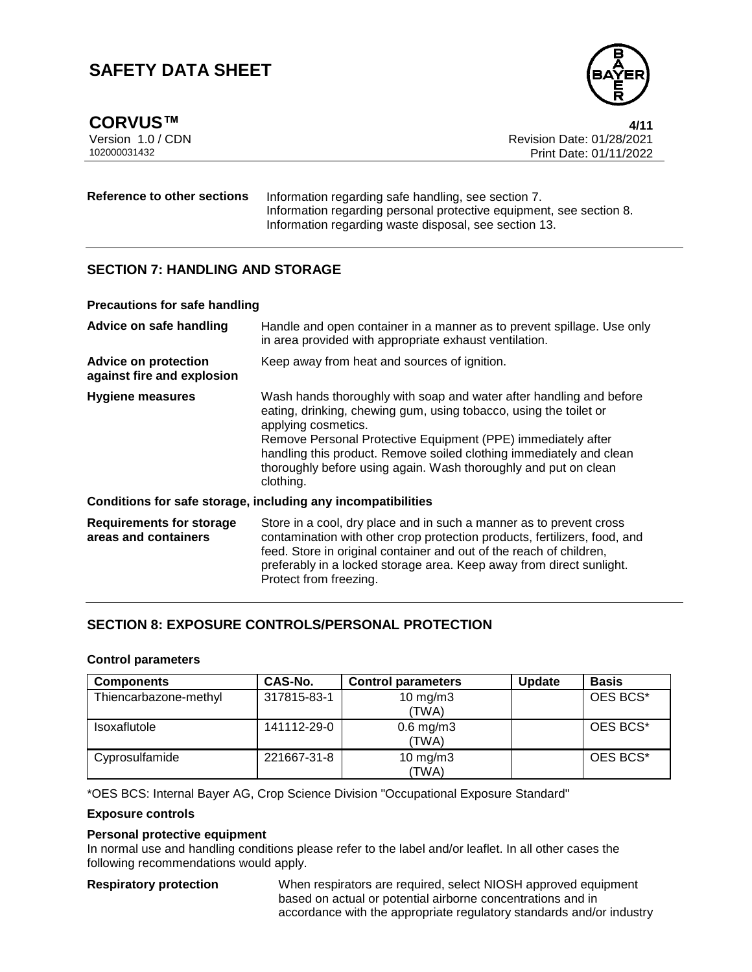**CORVUS™ 4/11**



Version 1.0 / CDN<br>102000031432 Print Date: 01/28/2021<br>Print Date: 01/11/2022 Print Date: 01/11/2022

#### **Reference to other sections** Information regarding safe handling, see section 7. Information regarding personal protective equipment, see section 8. Information regarding waste disposal, see section 13.

## **SECTION 7: HANDLING AND STORAGE**

#### **Precautions for safe handling**

| Advice on safe handling                                   | Handle and open container in a manner as to prevent spillage. Use only<br>in area provided with appropriate exhaust ventilation.                                                                                                                                                                                                                                                       |
|-----------------------------------------------------------|----------------------------------------------------------------------------------------------------------------------------------------------------------------------------------------------------------------------------------------------------------------------------------------------------------------------------------------------------------------------------------------|
| <b>Advice on protection</b><br>against fire and explosion | Keep away from heat and sources of ignition.                                                                                                                                                                                                                                                                                                                                           |
| <b>Hygiene measures</b>                                   | Wash hands thoroughly with soap and water after handling and before<br>eating, drinking, chewing gum, using tobacco, using the toilet or<br>applying cosmetics.<br>Remove Personal Protective Equipment (PPE) immediately after<br>handling this product. Remove soiled clothing immediately and clean<br>thoroughly before using again. Wash thoroughly and put on clean<br>clothing. |
|                                                           | Conditions for safe storage, including any incompatibilities                                                                                                                                                                                                                                                                                                                           |
| <b>Requirements for storage</b><br>areas and containers   | Store in a cool, dry place and in such a manner as to prevent cross<br>contamination with other crop protection products, fertilizers, food, and<br>feed. Store in original container and out of the reach of children,<br>preferably in a locked storage area. Keep away from direct sunlight.<br>Protect from freezing.                                                              |

## **SECTION 8: EXPOSURE CONTROLS/PERSONAL PROTECTION**

#### **Control parameters**

| <b>Components</b>     | CAS-No.     | <b>Control parameters</b>    | Update | <b>Basis</b> |
|-----------------------|-------------|------------------------------|--------|--------------|
| Thiencarbazone-methyl | 317815-83-1 | $10 \text{ mg/m}$ 3<br>(TWA) |        | OES BCS*     |
| <b>Isoxaflutole</b>   | 141112-29-0 | $0.6$ mg/m $3$<br>(TWA)      |        | OES BCS*     |
| Cyprosulfamide        | 221667-31-8 | $10 \text{ mg/m}$ 3<br>(TWA) |        | OES BCS*     |

\*OES BCS: Internal Bayer AG, Crop Science Division "Occupational Exposure Standard"

#### **Exposure controls**

#### **Personal protective equipment**

In normal use and handling conditions please refer to the label and/or leaflet. In all other cases the following recommendations would apply.

**Respiratory protection** When respirators are required, select NIOSH approved equipment based on actual or potential airborne concentrations and in accordance with the appropriate regulatory standards and/or industry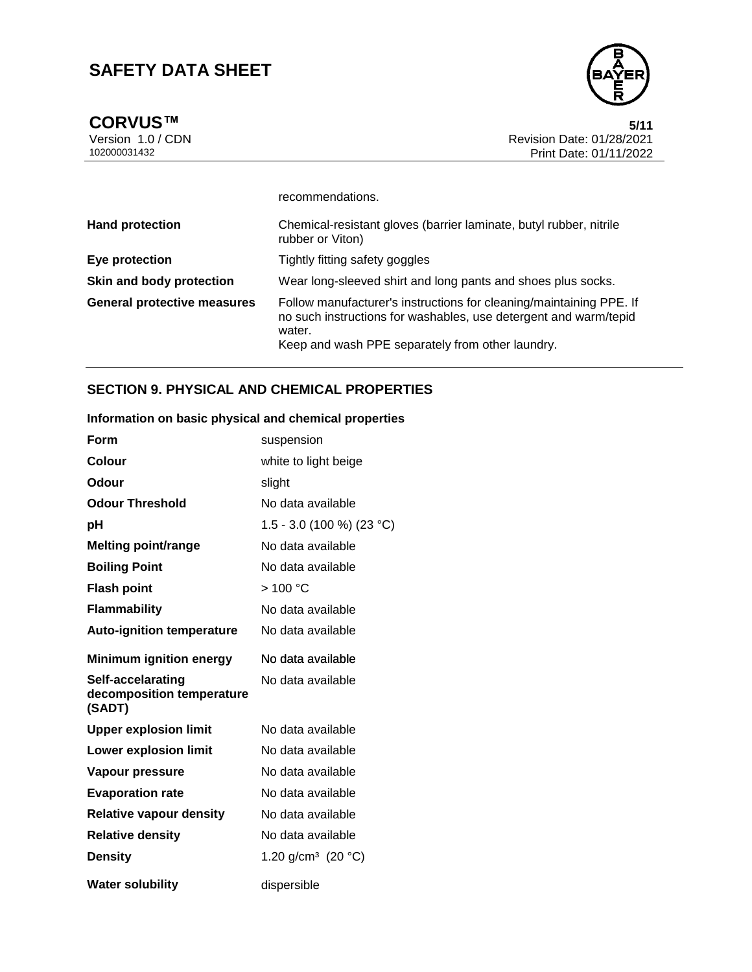

CORVUS™ 5/11<br>Version 1.0 / CDN 5/11<br>Revision Date: 01/28/2021 Version 1.0 / CDN<br>102000031432 Print Date: 01/28/2021<br>Print Date: 01/11/2022 Print Date: 01/11/2022

|                                    | recommendations.                                                                                                                                                                                      |
|------------------------------------|-------------------------------------------------------------------------------------------------------------------------------------------------------------------------------------------------------|
| <b>Hand protection</b>             | Chemical-resistant gloves (barrier laminate, butyl rubber, nitrile<br>rubber or Viton)                                                                                                                |
| Eye protection                     | Tightly fitting safety goggles                                                                                                                                                                        |
| Skin and body protection           | Wear long-sleeved shirt and long pants and shoes plus socks.                                                                                                                                          |
| <b>General protective measures</b> | Follow manufacturer's instructions for cleaning/maintaining PPE. If<br>no such instructions for washables, use detergent and warm/tepid<br>water.<br>Keep and wash PPE separately from other laundry. |

## **SECTION 9. PHYSICAL AND CHEMICAL PROPERTIES**

## **Information on basic physical and chemical properties**

| Form                                                     | suspension                     |
|----------------------------------------------------------|--------------------------------|
| Colour                                                   | white to light beige           |
| Odour                                                    | slight                         |
| <b>Odour Threshold</b>                                   | No data available              |
| рH                                                       | $1.5 - 3.0$ (100 %) (23 °C)    |
| <b>Melting point/range</b>                               | No data available              |
| <b>Boiling Point</b>                                     | No data available              |
| <b>Flash point</b>                                       | >100 °C                        |
| <b>Flammability</b>                                      | No data available              |
| <b>Auto-ignition temperature</b>                         | No data available              |
| <b>Minimum ignition energy</b>                           | No data available              |
| Self-accelarating<br>decomposition temperature<br>(SADT) | No data available              |
| <b>Upper explosion limit</b>                             | No data available              |
| <b>Lower explosion limit</b>                             | No data available              |
| Vapour pressure                                          | No data available              |
| <b>Evaporation rate</b>                                  | No data available              |
| <b>Relative vapour density</b>                           | No data available              |
| <b>Relative density</b>                                  | No data available              |
| <b>Density</b>                                           | 1.20 g/cm <sup>3</sup> (20 °C) |
| <b>Water solubility</b>                                  | dispersible                    |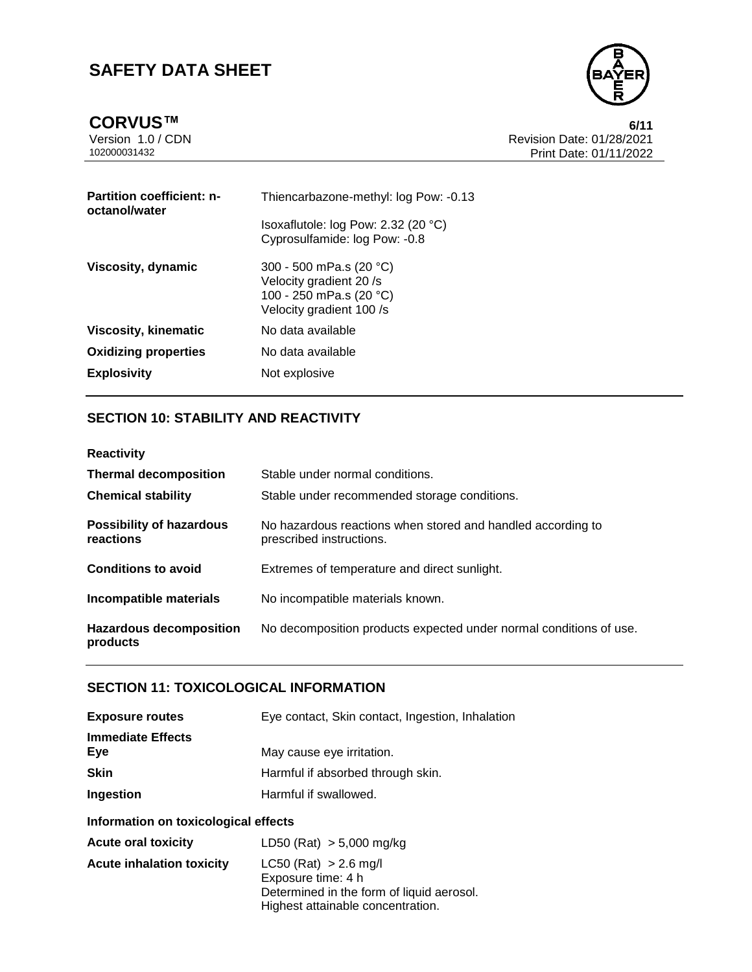

| <b>Partition coefficient: n-</b><br>octanol/water | Thiencarbazone-methyl: log Pow: -0.13                                                                    |
|---------------------------------------------------|----------------------------------------------------------------------------------------------------------|
|                                                   | Isoxaflutole: $log$ Pow: 2.32 (20 $°C$ )<br>Cyprosulfamide: log Pow: -0.8                                |
| Viscosity, dynamic                                | 300 - 500 mPa.s (20 °C)<br>Velocity gradient 20/s<br>100 - 250 mPa.s (20 °C)<br>Velocity gradient 100 /s |
| <b>Viscosity, kinematic</b>                       | No data available                                                                                        |
| <b>Oxidizing properties</b>                       | No data available                                                                                        |
| <b>Explosivity</b>                                | Not explosive                                                                                            |

## **SECTION 10: STABILITY AND REACTIVITY**

**Reactivity**

| <b>Thermal decomposition</b>                 | Stable under normal conditions.                                                         |
|----------------------------------------------|-----------------------------------------------------------------------------------------|
| <b>Chemical stability</b>                    | Stable under recommended storage conditions.                                            |
| <b>Possibility of hazardous</b><br>reactions | No hazardous reactions when stored and handled according to<br>prescribed instructions. |
| <b>Conditions to avoid</b>                   | Extremes of temperature and direct sunlight.                                            |
| Incompatible materials                       | No incompatible materials known.                                                        |
| <b>Hazardous decomposition</b><br>products   | No decomposition products expected under normal conditions of use.                      |

## **SECTION 11: TOXICOLOGICAL INFORMATION**

| <b>Exposure routes</b>               | Eye contact, Skin contact, Ingestion, Inhalation                                                                                  |  |
|--------------------------------------|-----------------------------------------------------------------------------------------------------------------------------------|--|
| <b>Immediate Effects</b><br>Eye      | May cause eye irritation.                                                                                                         |  |
| <b>Skin</b>                          | Harmful if absorbed through skin.                                                                                                 |  |
| Ingestion                            | Harmful if swallowed.                                                                                                             |  |
| Information on toxicological effects |                                                                                                                                   |  |
| <b>Acute oral toxicity</b>           | LD50 (Rat) $> 5,000$ mg/kg                                                                                                        |  |
| <b>Acute inhalation toxicity</b>     | $LC50$ (Rat) $> 2.6$ mg/l<br>Exposure time: 4 h<br>Determined in the form of liquid aerosol.<br>Highest attainable concentration. |  |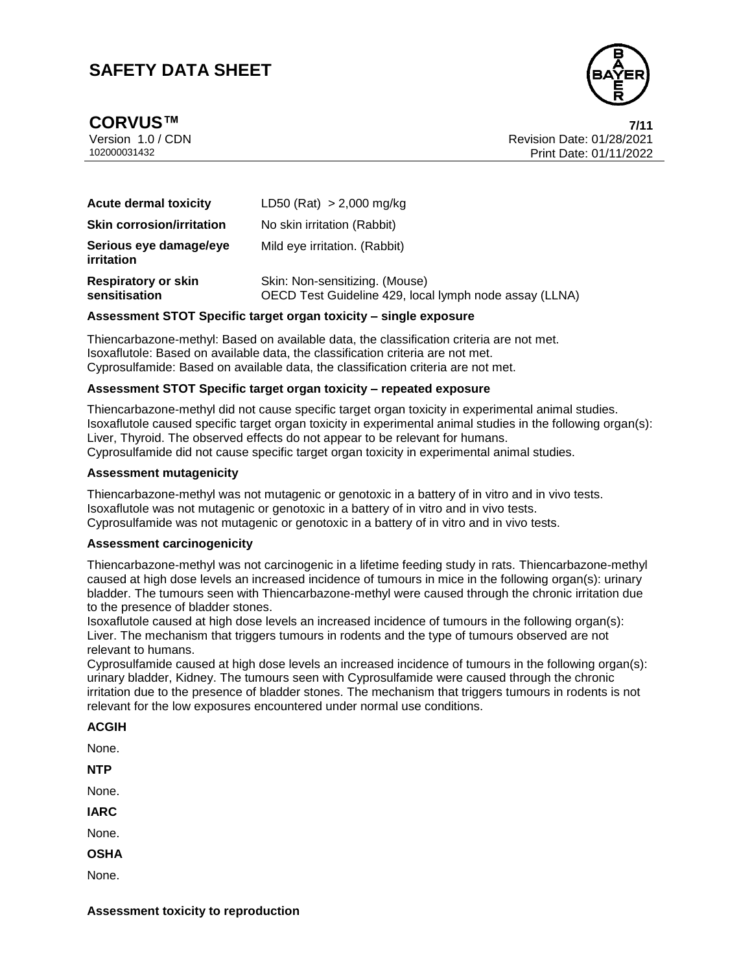**CORVUS™ 7/11**



Version 1.0 / CDN Revision Date: 01/28/2021 102000031432 Print Date: 01/11/2022 7/11

| <b>Acute dermal toxicity</b>                | LD50 (Rat) > 2,000 mg/kg                                                                 |
|---------------------------------------------|------------------------------------------------------------------------------------------|
| <b>Skin corrosion/irritation</b>            | No skin irritation (Rabbit)                                                              |
| Serious eye damage/eye<br><i>irritation</i> | Mild eye irritation. (Rabbit)                                                            |
| <b>Respiratory or skin</b><br>sensitisation | Skin: Non-sensitizing. (Mouse)<br>OECD Test Guideline 429, local lymph node assay (LLNA) |

#### **Assessment STOT Specific target organ toxicity – single exposure**

Thiencarbazone-methyl: Based on available data, the classification criteria are not met. Isoxaflutole: Based on available data, the classification criteria are not met. Cyprosulfamide: Based on available data, the classification criteria are not met.

#### **Assessment STOT Specific target organ toxicity – repeated exposure**

Thiencarbazone-methyl did not cause specific target organ toxicity in experimental animal studies. Isoxaflutole caused specific target organ toxicity in experimental animal studies in the following organ(s): Liver, Thyroid. The observed effects do not appear to be relevant for humans. Cyprosulfamide did not cause specific target organ toxicity in experimental animal studies.

#### **Assessment mutagenicity**

Thiencarbazone-methyl was not mutagenic or genotoxic in a battery of in vitro and in vivo tests. Isoxaflutole was not mutagenic or genotoxic in a battery of in vitro and in vivo tests. Cyprosulfamide was not mutagenic or genotoxic in a battery of in vitro and in vivo tests.

## **Assessment carcinogenicity**

Thiencarbazone-methyl was not carcinogenic in a lifetime feeding study in rats. Thiencarbazone-methyl caused at high dose levels an increased incidence of tumours in mice in the following organ(s): urinary bladder. The tumours seen with Thiencarbazone-methyl were caused through the chronic irritation due to the presence of bladder stones.

Isoxaflutole caused at high dose levels an increased incidence of tumours in the following organ(s): Liver. The mechanism that triggers tumours in rodents and the type of tumours observed are not relevant to humans.

Cyprosulfamide caused at high dose levels an increased incidence of tumours in the following organ(s): urinary bladder, Kidney. The tumours seen with Cyprosulfamide were caused through the chronic irritation due to the presence of bladder stones. The mechanism that triggers tumours in rodents is not relevant for the low exposures encountered under normal use conditions.

## **ACGIH** None. **NTP**

None.

**IARC**

None.

**OSHA**

None.

**Assessment toxicity to reproduction**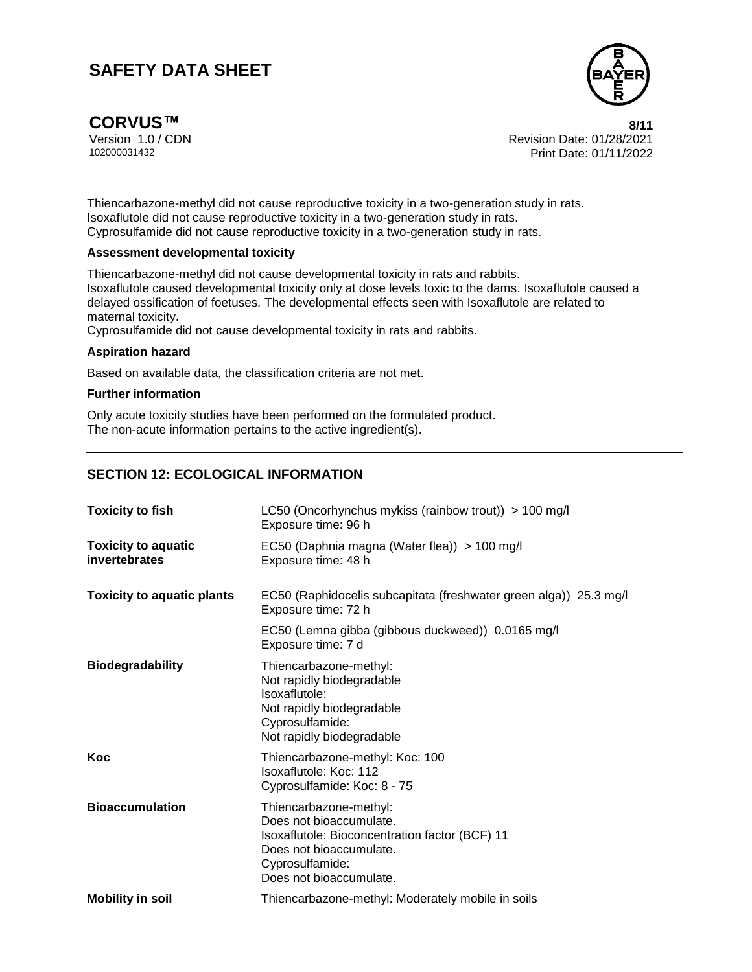

**CORVUS™ 8/11**

Version 1.0 / CDN<br>102000031432 Print Date: 01/28/2021<br>Print Date: 01/11/2022 Print Date: 01/11/2022  $8/11$ 

Thiencarbazone-methyl did not cause reproductive toxicity in a two-generation study in rats. Isoxaflutole did not cause reproductive toxicity in a two-generation study in rats. Cyprosulfamide did not cause reproductive toxicity in a two-generation study in rats.

#### **Assessment developmental toxicity**

Thiencarbazone-methyl did not cause developmental toxicity in rats and rabbits. Isoxaflutole caused developmental toxicity only at dose levels toxic to the dams. Isoxaflutole caused a delayed ossification of foetuses. The developmental effects seen with Isoxaflutole are related to maternal toxicity.

Cyprosulfamide did not cause developmental toxicity in rats and rabbits.

#### **Aspiration hazard**

Based on available data, the classification criteria are not met.

#### **Further information**

Only acute toxicity studies have been performed on the formulated product. The non-acute information pertains to the active ingredient(s).

## **SECTION 12: ECOLOGICAL INFORMATION**

| <b>Toxicity to fish</b>                     | LC50 (Oncorhynchus mykiss (rainbow trout)) > 100 mg/l<br>Exposure time: 96 h                                                                                                 |  |
|---------------------------------------------|------------------------------------------------------------------------------------------------------------------------------------------------------------------------------|--|
| <b>Toxicity to aquatic</b><br>invertebrates | EC50 (Daphnia magna (Water flea)) > 100 mg/l<br>Exposure time: 48 h                                                                                                          |  |
| <b>Toxicity to aquatic plants</b>           | EC50 (Raphidocelis subcapitata (freshwater green alga)) 25.3 mg/l<br>Exposure time: 72 h                                                                                     |  |
|                                             | EC50 (Lemna gibba (gibbous duckweed)) 0.0165 mg/l<br>Exposure time: 7 d                                                                                                      |  |
| <b>Biodegradability</b>                     | Thiencarbazone-methyl:<br>Not rapidly biodegradable<br>Isoxaflutole:<br>Not rapidly biodegradable<br>Cyprosulfamide:<br>Not rapidly biodegradable                            |  |
| Koc                                         | Thiencarbazone-methyl: Koc: 100<br>Isoxaflutole: Koc: 112<br>Cyprosulfamide: Koc: 8 - 75                                                                                     |  |
| <b>Bioaccumulation</b>                      | Thiencarbazone-methyl:<br>Does not bioaccumulate.<br>Isoxaflutole: Bioconcentration factor (BCF) 11<br>Does not bioaccumulate.<br>Cyprosulfamide:<br>Does not bioaccumulate. |  |
| <b>Mobility in soil</b>                     | Thiencarbazone-methyl: Moderately mobile in soils                                                                                                                            |  |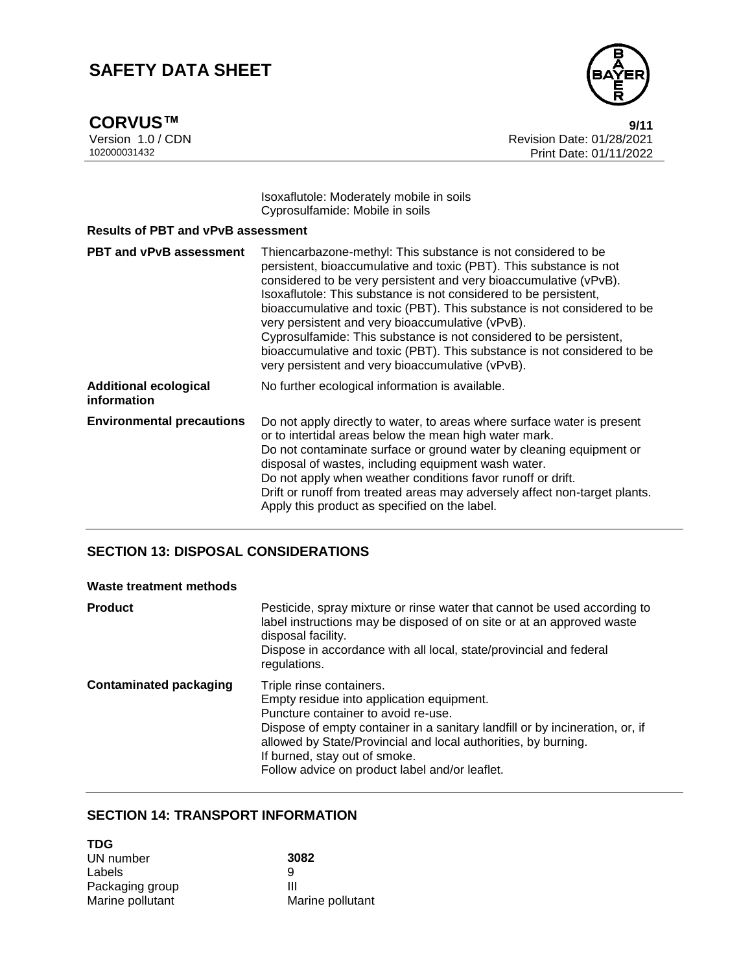**CORVUS™**<br>Version 1.0 / CDN

![](_page_8_Picture_3.jpeg)

Version 1.0 / CDN<br>102000031432 Print Date: 01/28/2021<br>Print Date: 01/11/2022 Print Date: 01/11/2022  $9/11$ 

> Isoxaflutole: Moderately mobile in soils Cyprosulfamide: Mobile in soils

| <b>Results of PBT and vPvB assessment</b>   |                                                                                                                                                                                                                                                                                                                                                                                                                                                                                                                                                                                                                  |  |
|---------------------------------------------|------------------------------------------------------------------------------------------------------------------------------------------------------------------------------------------------------------------------------------------------------------------------------------------------------------------------------------------------------------------------------------------------------------------------------------------------------------------------------------------------------------------------------------------------------------------------------------------------------------------|--|
| <b>PBT and vPvB assessment</b>              | Thiencarbazone-methyl: This substance is not considered to be<br>persistent, bioaccumulative and toxic (PBT). This substance is not<br>considered to be very persistent and very bioaccumulative (vPvB).<br>Isoxaflutole: This substance is not considered to be persistent,<br>bioaccumulative and toxic (PBT). This substance is not considered to be<br>very persistent and very bioaccumulative (vPvB).<br>Cyprosulfamide: This substance is not considered to be persistent,<br>bioaccumulative and toxic (PBT). This substance is not considered to be<br>very persistent and very bioaccumulative (vPvB). |  |
| <b>Additional ecological</b><br>information | No further ecological information is available.                                                                                                                                                                                                                                                                                                                                                                                                                                                                                                                                                                  |  |
| <b>Environmental precautions</b>            | Do not apply directly to water, to areas where surface water is present<br>or to intertidal areas below the mean high water mark.<br>Do not contaminate surface or ground water by cleaning equipment or<br>disposal of wastes, including equipment wash water.<br>Do not apply when weather conditions favor runoff or drift.<br>Drift or runoff from treated areas may adversely affect non-target plants.<br>Apply this product as specified on the label.                                                                                                                                                    |  |

## **SECTION 13: DISPOSAL CONSIDERATIONS**

| Waste treatment methods       |                                                                                                                                                                                                                                                                                                                                                   |
|-------------------------------|---------------------------------------------------------------------------------------------------------------------------------------------------------------------------------------------------------------------------------------------------------------------------------------------------------------------------------------------------|
| <b>Product</b>                | Pesticide, spray mixture or rinse water that cannot be used according to<br>label instructions may be disposed of on site or at an approved waste<br>disposal facility.<br>Dispose in accordance with all local, state/provincial and federal<br>regulations.                                                                                     |
| <b>Contaminated packaging</b> | Triple rinse containers.<br>Empty residue into application equipment.<br>Puncture container to avoid re-use.<br>Dispose of empty container in a sanitary landfill or by incineration, or, if<br>allowed by State/Provincial and local authorities, by burning.<br>If burned, stay out of smoke.<br>Follow advice on product label and/or leaflet. |

## **SECTION 14: TRANSPORT INFORMATION**

| <b>TDG</b>       |                  |
|------------------|------------------|
| UN number        | 3082             |
| Labels           | g                |
| Packaging group  | Ш                |
| Marine pollutant | Marine pollutant |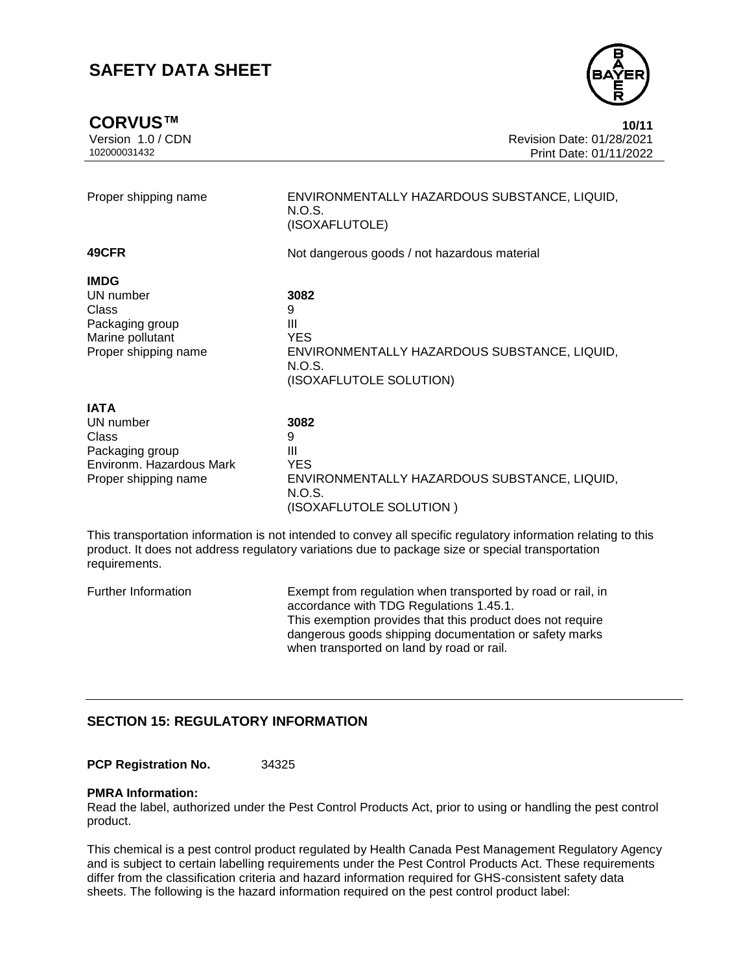**CORVUS™ 10/11**

![](_page_9_Picture_3.jpeg)

Version 1.0 / CDN Revision Date: 01/28/2021 102000031432 Print Date: 01/11/2022  $10/11$ 

| Proper shipping name                                                                                     | ENVIRONMENTALLY HAZARDOUS SUBSTANCE, LIQUID,<br>N.O.S.<br>(ISOXAFLUTOLE)                                          |  |
|----------------------------------------------------------------------------------------------------------|-------------------------------------------------------------------------------------------------------------------|--|
| 49CFR                                                                                                    | Not dangerous goods / not hazardous material                                                                      |  |
| <b>IMDG</b><br>UN number<br>Class<br>Packaging group<br>Marine pollutant<br>Proper shipping name         | 3082<br>9<br>Ш<br><b>YES</b><br>ENVIRONMENTALLY HAZARDOUS SUBSTANCE, LIQUID,<br>N.O.S.<br>(ISOXAFLUTOLE SOLUTION) |  |
| <b>IATA</b><br>UN number<br>Class<br>Packaging group<br>Environm. Hazardous Mark<br>Proper shipping name | 3082<br>9<br>Ш<br><b>YES</b><br>ENVIRONMENTALLY HAZARDOUS SUBSTANCE, LIQUID,<br>N.O.S.<br>(ISOXAFLUTOLE SOLUTION) |  |

This transportation information is not intended to convey all specific regulatory information relating to this product. It does not address regulatory variations due to package size or special transportation requirements.

Further Information Exempt from regulation when transported by road or rail, in accordance with TDG Regulations 1.45.1. This exemption provides that this product does not require dangerous goods shipping documentation or safety marks when transported on land by road or rail.

### **SECTION 15: REGULATORY INFORMATION**

**PCP Registration No.** 34325

#### **PMRA Information:**

Read the label, authorized under the Pest Control Products Act, prior to using or handling the pest control product.

This chemical is a pest control product regulated by Health Canada Pest Management Regulatory Agency and is subject to certain labelling requirements under the Pest Control Products Act. These requirements differ from the classification criteria and hazard information required for GHS-consistent safety data sheets. The following is the hazard information required on the pest control product label: